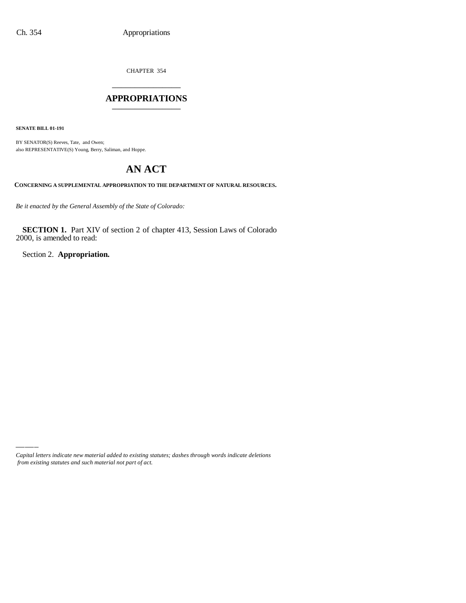CHAPTER 354 \_\_\_\_\_\_\_\_\_\_\_\_\_\_\_

### **APPROPRIATIONS** \_\_\_\_\_\_\_\_\_\_\_\_\_\_\_

**SENATE BILL 01-191**

BY SENATOR(S) Reeves, Tate, and Owen; also REPRESENTATIVE(S) Young, Berry, Saliman, and Hoppe.

# **AN ACT**

**CONCERNING A SUPPLEMENTAL APPROPRIATION TO THE DEPARTMENT OF NATURAL RESOURCES.**

*Be it enacted by the General Assembly of the State of Colorado:*

**SECTION 1.** Part XIV of section 2 of chapter 413, Session Laws of Colorado 2000, is amended to read:

Section 2. **Appropriation.**

*Capital letters indicate new material added to existing statutes; dashes through words indicate deletions from existing statutes and such material not part of act.*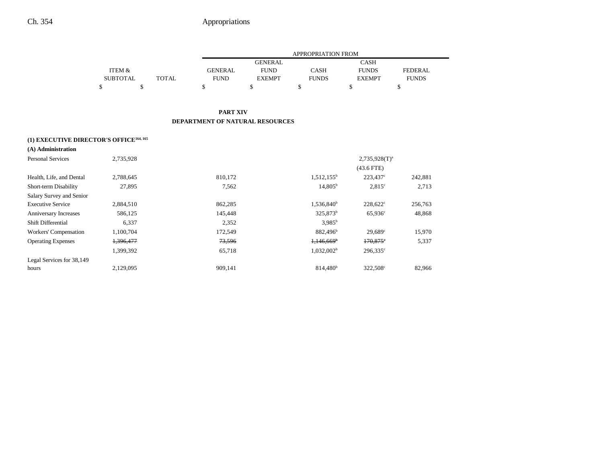|                                                     |                 |              | <b>APPROPRIATION FROM</b>              |                |                          |                      |                |
|-----------------------------------------------------|-----------------|--------------|----------------------------------------|----------------|--------------------------|----------------------|----------------|
|                                                     |                 |              |                                        | <b>GENERAL</b> |                          | <b>CASH</b>          |                |
|                                                     | ITEM &          |              | <b>GENERAL</b>                         | <b>FUND</b>    | <b>CASH</b>              | <b>FUNDS</b>         | <b>FEDERAL</b> |
|                                                     | <b>SUBTOTAL</b> | <b>TOTAL</b> | <b>FUND</b>                            | <b>EXEMPT</b>  | <b>FUNDS</b>             | <b>EXEMPT</b>        | <b>FUNDS</b>   |
|                                                     | \$<br>\$        |              | \$                                     | \$             | \$                       | \$                   | \$             |
|                                                     |                 |              | <b>PART XIV</b>                        |                |                          |                      |                |
|                                                     |                 |              | <b>DEPARTMENT OF NATURAL RESOURCES</b> |                |                          |                      |                |
| (1) EXECUTIVE DIRECTOR'S OFFICE <sup>164, 165</sup> |                 |              |                                        |                |                          |                      |                |
| (A) Administration                                  |                 |              |                                        |                |                          |                      |                |
| <b>Personal Services</b>                            | 2,735,928       |              |                                        |                |                          | $2,735,928(T)^a$     |                |
|                                                     |                 |              |                                        |                |                          | $(43.6$ FTE)         |                |
| Health, Life, and Dental                            | 2,788,645       |              | 810,172                                |                | $1,512,155^b$            | 223,437 <sup>c</sup> | 242,881        |
| Short-term Disability                               | 27,895          |              | 7,562                                  |                | $14,805^{\rm b}$         | $2,815^{\circ}$      | 2,713          |
| Salary Survey and Senior                            |                 |              |                                        |                |                          |                      |                |
| <b>Executive Service</b>                            | 2,884,510       |              | 862,285                                |                | $1,536,840^b$            | $228,622^{\circ}$    | 256,763        |
| Anniversary Increases                               | 586,125         |              | 145,448                                |                | 325,873 <sup>b</sup>     | $65,936^{\circ}$     | 48,868         |
| Shift Differential                                  | 6,337           |              | 2,352                                  |                | $3,985^{\rm b}$          |                      |                |
| Workers' Compensation                               | 1,100,704       |              | 172,549                                |                | 882,496 <sup>b</sup>     | $29,689^{\circ}$     | 15,970         |
| <b>Operating Expenses</b>                           | 1,396,477       |              | 73,596                                 |                | $1,146,669$ <sup>b</sup> | $170,875$ °          | 5,337          |
|                                                     | 1,399,392       |              | 65,718                                 |                | $1,032,002^b$            | $296,335^{\circ}$    |                |
| Legal Services for 38,149                           |                 |              |                                        |                |                          |                      |                |
| hours                                               | 2,129,095       |              | 909,141                                |                | 814,480 <sup>b</sup>     | 322,508 <sup>c</sup> | 82,966         |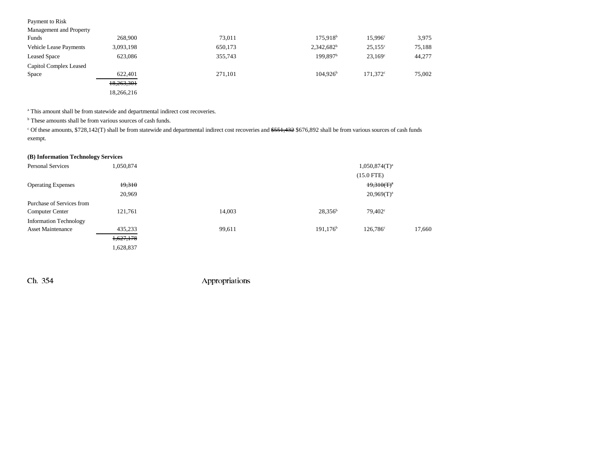| Payment to Risk               |            |         |                        |                   |        |
|-------------------------------|------------|---------|------------------------|-------------------|--------|
| Management and Property       |            |         |                        |                   |        |
| Funds                         | 268,900    | 73,011  | $175,918$ <sup>b</sup> | $15.996^{\circ}$  | 3,975  |
| <b>Vehicle Lease Payments</b> | 3,093,198  | 650,173 | $2,342,682^b$          | $25,155^{\circ}$  | 75,188 |
| <b>Leased Space</b>           | 623,086    | 355,743 | 199.897 <sup>b</sup>   | $23.169^{\circ}$  | 44,277 |
| Capitol Complex Leased        |            |         |                        |                   |        |
| Space                         | 622,401    | 271,101 | 104.926 <sup>b</sup>   | $171.372^{\circ}$ | 75,002 |
|                               | 18,263,301 |         |                        |                   |        |
|                               | 18,266,216 |         |                        |                   |        |

<sup>a</sup> This amount shall be from statewide and departmental indirect cost recoveries.

<sup>b</sup> These amounts shall be from various sources of cash funds.

<sup>c</sup> Of these amounts, \$728,142(T) shall be from statewide and departmental indirect cost recoveries and \$551,432 \$676,892 shall be from various sources of cash funds exempt.

### **(B) Information Technology Services**

| <b>Personal Services</b>      | 1,050,874 | $1,050,874(T)^a$ |             |                   |        |
|-------------------------------|-----------|------------------|-------------|-------------------|--------|
|                               |           |                  |             | $(15.0$ FTE)      |        |
| <b>Operating Expenses</b>     | 19,310    |                  |             | $19,310(T)^a$     |        |
|                               | 20,969    |                  |             | $20,969(T)^a$     |        |
| Purchase of Services from     |           |                  |             |                   |        |
| <b>Computer Center</b>        | 121,761   | 14,003           | $28,356^b$  | $79,402^{\circ}$  |        |
| <b>Information Technology</b> |           |                  |             |                   |        |
| <b>Asset Maintenance</b>      | 435,233   | 99,611           | $191,176^b$ | $126.786^{\circ}$ | 17,660 |
|                               | 1,627,178 |                  |             |                   |        |
|                               | 1,628,837 |                  |             |                   |        |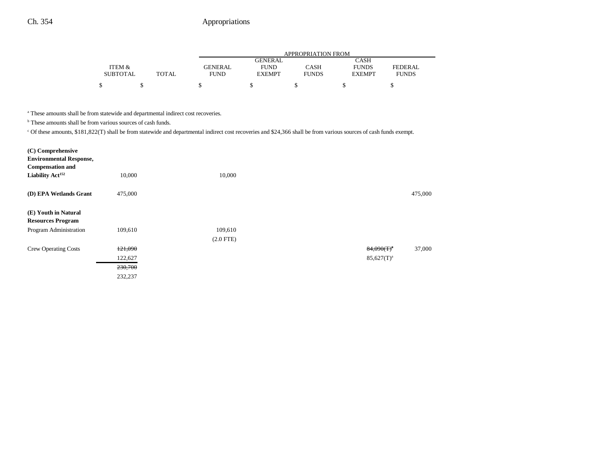|                 |              | APPROPRIATION FROM |                |              |               |                |  |
|-----------------|--------------|--------------------|----------------|--------------|---------------|----------------|--|
|                 |              |                    | <b>GENERAL</b> |              | CASH          |                |  |
| ITEM &          |              | <b>GENERAL</b>     | <b>FUND</b>    | CASH         | <b>FUNDS</b>  | <b>FEDERAL</b> |  |
| <b>SUBTOTAL</b> | <b>TOTAL</b> | FUND               | <b>EXEMPT</b>  | <b>FUNDS</b> | <b>EXEMPT</b> | <b>FUNDS</b>   |  |
| \$              |              |                    |                |              |               |                |  |

<sup>a</sup> These amounts shall be from statewide and departmental indirect cost recoveries.

<sup>b</sup> These amounts shall be from various sources of cash funds.

c Of these amounts, \$181,822(T) shall be from statewide and departmental indirect cost recoveries and \$24,366 shall be from various sources of cash funds exempt.

| (C) Comprehensive<br><b>Environmental Response,</b><br><b>Compensation and</b><br>Liability Act <sup>152</sup> | 10,000  | 10,000      |                 |         |
|----------------------------------------------------------------------------------------------------------------|---------|-------------|-----------------|---------|
| (D) EPA Wetlands Grant                                                                                         | 475,000 |             |                 | 475,000 |
| (E) Youth in Natural<br><b>Resources Program</b>                                                               |         |             |                 |         |
| Program Administration                                                                                         | 109,610 | 109,610     |                 |         |
|                                                                                                                |         | $(2.0$ FTE) |                 |         |
| <b>Crew Operating Costs</b>                                                                                    | 121,090 |             | $84,090(T)^{a}$ | 37,000  |
|                                                                                                                | 122,627 |             | $85,627(T)^a$   |         |
|                                                                                                                | 230,700 |             |                 |         |
|                                                                                                                | 232,237 |             |                 |         |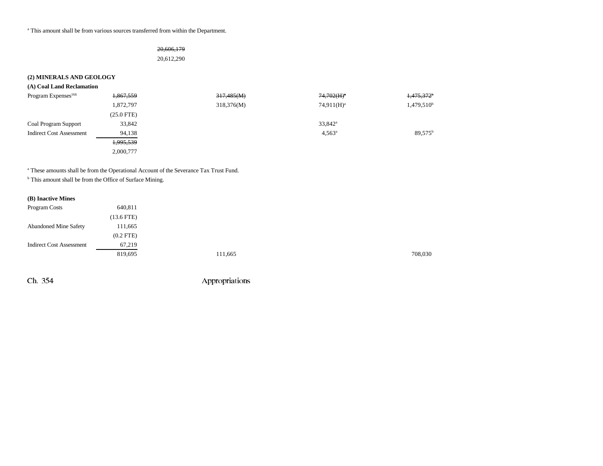<sup>a</sup> This amount shall be from various sources transferred from within the Department.

### 20,606,179

20,612,290

### **(2) MINERALS AND GEOLOGY**

| (A) Coal Land Reclamation       |              |            |                  |                        |
|---------------------------------|--------------|------------|------------------|------------------------|
| Program Expenses <sup>166</sup> | 1,867,559    | 317,485(M) | $74,702(H)^a$    | 1,475,372              |
|                                 | 1,872,797    | 318,376(M) | $74.911(H)^a$    | 1,479,510 <sup>b</sup> |
|                                 | $(25.0$ FTE) |            |                  |                        |
| <b>Coal Program Support</b>     | 33,842       |            | $33,842^{\circ}$ |                        |
| <b>Indirect Cost Assessment</b> | 94,138       |            | $4,563^{\circ}$  | $89.575^{\text{t}}$    |
|                                 | 1,995,539    |            |                  |                        |
|                                 | 2,000,777    |            |                  |                        |

a These amounts shall be from the Operational Account of the Severance Tax Trust Fund.

<sup>b</sup> This amount shall be from the Office of Surface Mining.

#### **(B) Inactive Mines**

| Program Costs                   | 640,811      |         |         |
|---------------------------------|--------------|---------|---------|
|                                 | $(13.6$ FTE) |         |         |
| <b>Abandoned Mine Safety</b>    | 111,665      |         |         |
|                                 | $(0.2$ FTE)  |         |         |
| <b>Indirect Cost Assessment</b> | 67,219       |         |         |
|                                 | 819,695      | 111,665 | 708,030 |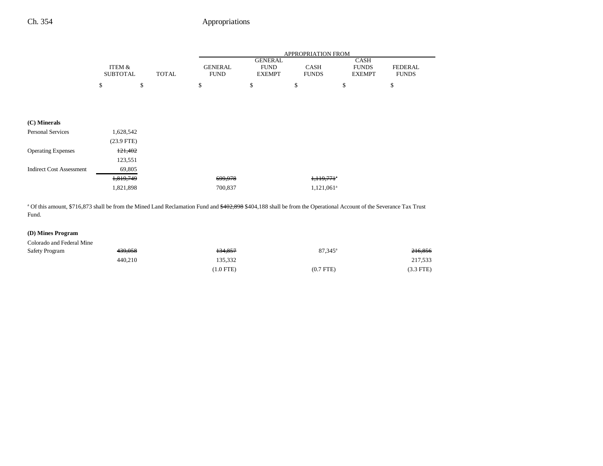|                                 |                           |              | APPROPRIATION FROM            |                                                |                             |                                       |                                |
|---------------------------------|---------------------------|--------------|-------------------------------|------------------------------------------------|-----------------------------|---------------------------------------|--------------------------------|
|                                 | ITEM &<br><b>SUBTOTAL</b> | <b>TOTAL</b> | <b>GENERAL</b><br><b>FUND</b> | <b>GENERAL</b><br><b>FUND</b><br><b>EXEMPT</b> | <b>CASH</b><br><b>FUNDS</b> | CASH<br><b>FUNDS</b><br><b>EXEMPT</b> | <b>FEDERAL</b><br><b>FUNDS</b> |
|                                 | \$<br>\$                  |              | \$                            | \$                                             | \$                          | \$                                    | \$                             |
|                                 |                           |              |                               |                                                |                             |                                       |                                |
| (C) Minerals                    |                           |              |                               |                                                |                             |                                       |                                |
| <b>Personal Services</b>        | 1,628,542                 |              |                               |                                                |                             |                                       |                                |
|                                 | $(23.9$ FTE)              |              |                               |                                                |                             |                                       |                                |
| <b>Operating Expenses</b>       | 121,402                   |              |                               |                                                |                             |                                       |                                |
|                                 | 123,551                   |              |                               |                                                |                             |                                       |                                |
| <b>Indirect Cost Assessment</b> | 69,805                    |              |                               |                                                |                             |                                       |                                |
|                                 | 1,819,749                 |              | 699,978                       |                                                | $1,119,771$ *               |                                       |                                |
|                                 | 1,821,898                 |              | 700,837                       |                                                | $1,121,061^a$               |                                       |                                |
|                                 |                           |              |                               |                                                |                             |                                       |                                |

<sup>a</sup> Of this amount, \$716,873 shall be from the Mined Land Reclamation Fund and \$402,898 \$404,188 shall be from the Operational Account of the Severance Tax Trust Fund.

### **(D) Mines Program**

| Colorado and Federal Mine |                    |             |                  |             |
|---------------------------|--------------------|-------------|------------------|-------------|
| <b>Safety Program</b>     | <del>439,058</del> | 134,857     | $87,345^{\circ}$ | 216,856     |
|                           | 440.210            | 135.332     |                  | 217,533     |
|                           |                    | $(1.0$ FTE) | $(0.7$ FTE)      | $(3.3$ FTE) |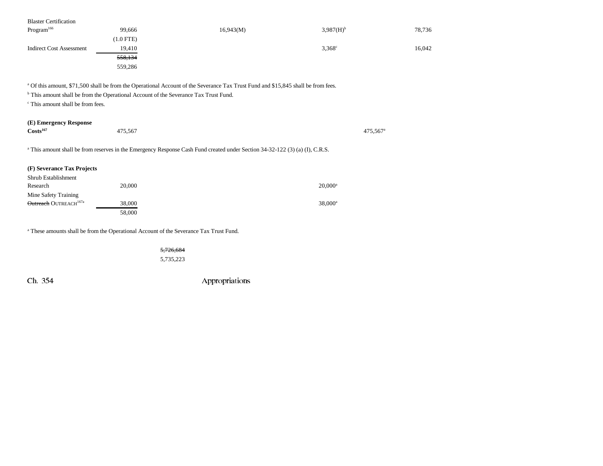| <b>Blaster Certification</b>                                                                                                                                                                                                                                                                                              |             |           |                       |        |  |  |  |
|---------------------------------------------------------------------------------------------------------------------------------------------------------------------------------------------------------------------------------------------------------------------------------------------------------------------------|-------------|-----------|-----------------------|--------|--|--|--|
| Program <sup>166</sup>                                                                                                                                                                                                                                                                                                    | 99,666      | 16,943(M) | 3,987(H) <sup>b</sup> | 78,736 |  |  |  |
|                                                                                                                                                                                                                                                                                                                           | $(1.0$ FTE) |           |                       |        |  |  |  |
| <b>Indirect Cost Assessment</b>                                                                                                                                                                                                                                                                                           | 19,410      |           | $3,368^{\circ}$       | 16,042 |  |  |  |
|                                                                                                                                                                                                                                                                                                                           | 558,134     |           |                       |        |  |  |  |
|                                                                                                                                                                                                                                                                                                                           | 559,286     |           |                       |        |  |  |  |
| <sup>a</sup> Of this amount, \$71,500 shall be from the Operational Account of the Severance Tax Trust Fund and \$15,845 shall be from fees.<br><sup>b</sup> This amount shall be from the Operational Account of the Severance Tax Trust Fund.<br><sup>c</sup> This amount shall be from fees.<br>(E) Emergency Response |             |           |                       |        |  |  |  |
| Costs <sup>167</sup>                                                                                                                                                                                                                                                                                                      | 475,567     |           | 475,567 <sup>a</sup>  |        |  |  |  |
| <sup>a</sup> This amount shall be from reserves in the Emergency Response Cash Fund created under Section 34-32-122 (3) (a) (I), C.R.S.                                                                                                                                                                                   |             |           |                       |        |  |  |  |
| (F) Severance Tax Projects                                                                                                                                                                                                                                                                                                |             |           |                       |        |  |  |  |
| Shrub Establishment                                                                                                                                                                                                                                                                                                       |             |           |                       |        |  |  |  |
| Research                                                                                                                                                                                                                                                                                                                  | 20,000      |           | $20,000^a$            |        |  |  |  |
| Mine Safety Training                                                                                                                                                                                                                                                                                                      |             |           |                       |        |  |  |  |
| Outreach OUTREACH <sup>167a</sup>                                                                                                                                                                                                                                                                                         | 38,000      |           | $38,000^a$            |        |  |  |  |
|                                                                                                                                                                                                                                                                                                                           | 58,000      |           |                       |        |  |  |  |

a These amounts shall be from the Operational Account of the Severance Tax Trust Fund.

5,726,684 5,735,223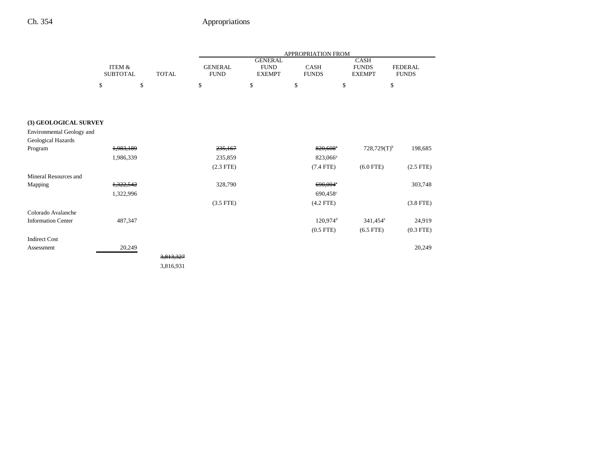|                           |                           |              | APPROPRIATION FROM            |                                                |                             |                                              |                                |
|---------------------------|---------------------------|--------------|-------------------------------|------------------------------------------------|-----------------------------|----------------------------------------------|--------------------------------|
|                           | ITEM &<br><b>SUBTOTAL</b> | <b>TOTAL</b> | <b>GENERAL</b><br><b>FUND</b> | <b>GENERAL</b><br><b>FUND</b><br><b>EXEMPT</b> | <b>CASH</b><br><b>FUNDS</b> | <b>CASH</b><br><b>FUNDS</b><br><b>EXEMPT</b> | <b>FEDERAL</b><br><b>FUNDS</b> |
|                           | \$                        | \$           | \$                            | \$                                             | \$                          | \$                                           | \$                             |
|                           |                           |              |                               |                                                |                             |                                              |                                |
|                           |                           |              |                               |                                                |                             |                                              |                                |
| (3) GEOLOGICAL SURVEY     |                           |              |                               |                                                |                             |                                              |                                |
| Environmental Geology and |                           |              |                               |                                                |                             |                                              |                                |
| Geological Hazards        |                           |              |                               |                                                |                             |                                              |                                |
| Program                   | 1,983,189                 |              | 235,167                       |                                                | 820,608*                    | $728,729(T)^{b}$                             | 198,685                        |
|                           | 1,986,339                 |              | 235,859                       |                                                | 823,066 <sup>a</sup>        |                                              |                                |
|                           |                           |              | $(2.3$ FTE)                   |                                                | $(7.4$ FTE)                 | $(6.0$ FTE)                                  | $(2.5$ FTE)                    |
| Mineral Resources and     |                           |              |                               |                                                |                             |                                              |                                |
| Mapping                   | 1,322,542                 |              | 328,790                       |                                                | $690,004$ °                 |                                              | 303,748                        |
|                           | 1,322,996                 |              |                               |                                                | 690,458 <sup>c</sup>        |                                              |                                |
|                           |                           |              | $(3.5$ FTE)                   |                                                | $(4.2$ FTE)                 |                                              | $(3.8$ FTE)                    |
| Colorado Avalanche        |                           |              |                               |                                                |                             |                                              |                                |
| <b>Information Center</b> | 487,347                   |              |                               |                                                | $120,974$ <sup>d</sup>      | 341,454 <sup>e</sup>                         | 24,919                         |
|                           |                           |              |                               |                                                | $(0.5$ FTE $)$              | $(6.5$ FTE)                                  | $(0.3$ FTE)                    |
| <b>Indirect Cost</b>      |                           |              |                               |                                                |                             |                                              |                                |
| Assessment                | 20,249                    |              |                               |                                                |                             |                                              | 20,249                         |
|                           |                           | 3,813,327    |                               |                                                |                             |                                              |                                |
|                           |                           | 3,816,931    |                               |                                                |                             |                                              |                                |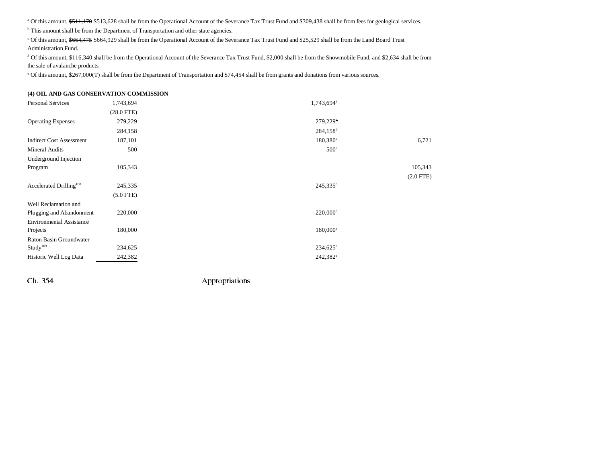<sup>a</sup> Of this amount, \$511,170 \$513,628 shall be from the Operational Account of the Severance Tax Trust Fund and \$309,438 shall be from fees for geological services.

<sup>b</sup> This amount shall be from the Department of Transportation and other state agencies.

c Of this amount, \$664,475 \$664,929 shall be from the Operational Account of the Severance Tax Trust Fund and \$25,529 shall be from the Land Board Trust Administration Fund.

<sup>d</sup> Of this amount, \$116,340 shall be from the Operational Account of the Severance Tax Trust Fund, \$2,000 shall be from the Snowmobile Fund, and \$2,634 shall be from the sale of avalanche products.

e Of this amount, \$267,000(T) shall be from the Department of Transportation and \$74,454 shall be from grants and donations from various sources.

#### **(4) OIL AND GAS CONSERVATION COMMISSION**

| <b>Personal Services</b>            | 1,743,694       | 1,743,694 <sup>a</sup> |             |
|-------------------------------------|-----------------|------------------------|-------------|
|                                     | $(28.0$ FTE $)$ |                        |             |
| <b>Operating Expenses</b>           | 279,229         | 279,229 <sup>b</sup>   |             |
|                                     | 284,158         | 284,158 <sup>b</sup>   |             |
| <b>Indirect Cost Assessment</b>     | 187,101         | $180,380^{\circ}$      | 6,721       |
| <b>Mineral Audits</b>               | 500             | 500 <sup>c</sup>       |             |
| Underground Injection               |                 |                        |             |
| Program                             | 105,343         |                        | 105,343     |
|                                     |                 |                        | $(2.0$ FTE) |
| Accelerated Drilling <sup>168</sup> | 245,335         | $245,335$ <sup>d</sup> |             |
|                                     | $(5.0$ FTE)     |                        |             |
| Well Reclamation and                |                 |                        |             |
| Plugging and Abandonment            | 220,000         | $220,000^{\circ}$      |             |
| <b>Environmental Assistance</b>     |                 |                        |             |
| Projects                            | 180,000         | $180,000^{\circ}$      |             |
| Raton Basin Groundwater             |                 |                        |             |
| Study <sup>169</sup>                | 234,625         | $234,625^{\circ}$      |             |
| Historic Well Log Data              | 242,382         | $242,382^e$            |             |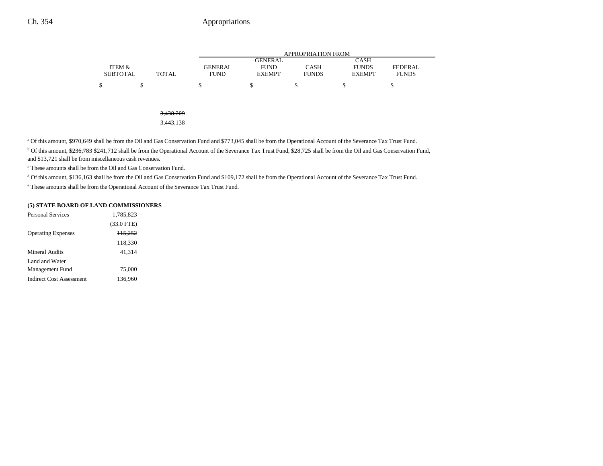|                 |              |                | <b>APPROPRIATION FROM</b>     |              |                             |                |  |
|-----------------|--------------|----------------|-------------------------------|--------------|-----------------------------|----------------|--|
| ITEM &          |              | <b>GENERAL</b> | <b>GENERAL</b><br><b>FUND</b> | <b>CASH</b>  | <b>CASH</b><br><b>FUNDS</b> | <b>FEDERAL</b> |  |
| <b>SUBTOTAL</b> | <b>TOTAL</b> | <b>FUND</b>    | <b>EXEMPT</b>                 | <b>FUNDS</b> | <b>EXEMPT</b>               | <b>FUNDS</b>   |  |
| \$              | \$           | \$             | \$                            | \$           | \$                          | \$             |  |
|                 |              |                |                               |              |                             |                |  |
|                 |              |                |                               |              |                             |                |  |
|                 | 3,438,209    |                |                               |              |                             |                |  |
|                 | 3,443,138    |                |                               |              |                             |                |  |

a Of this amount, \$970,649 shall be from the Oil and Gas Conservation Fund and \$773,045 shall be from the Operational Account of the Severance Tax Trust Fund.

<sup>b</sup> Of this amount, \$236,783 \$241,712 shall be from the Operational Account of the Severance Tax Trust Fund, \$28,725 shall be from the Oil and Gas Conservation Fund, and \$13,721 shall be from miscellaneous cash revenues.

c These amounts shall be from the Oil and Gas Conservation Fund.

<sup>d</sup> Of this amount, \$136,163 shall be from the Oil and Gas Conservation Fund and \$109,172 shall be from the Operational Account of the Severance Tax Trust Fund.

e These amounts shall be from the Operational Account of the Severance Tax Trust Fund.

#### **(5) STATE BOARD OF LAND COMMISSIONERS**

| <b>Personal Services</b>        | 1.785.823           |
|---------------------------------|---------------------|
|                                 | $(33.0$ FTE)        |
| <b>Operating Expenses</b>       | H <sub>5</sub> ,252 |
|                                 | 118,330             |
| Mineral Audits                  | 41.314              |
| Land and Water                  |                     |
| Management Fund                 | 75,000              |
| <b>Indirect Cost Assessment</b> | 136,960             |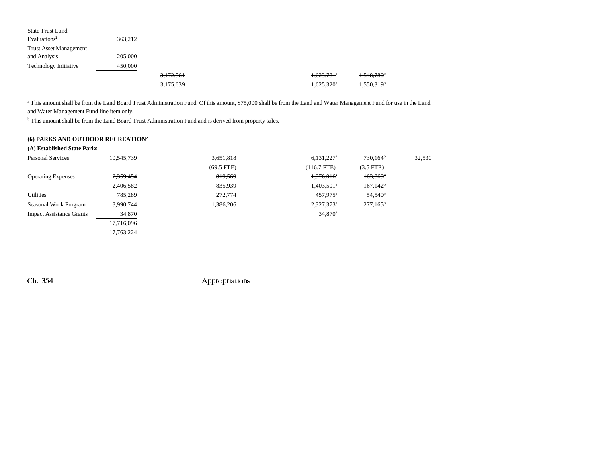| <b>State Trust Land</b>       |         |           |                          |                        |
|-------------------------------|---------|-----------|--------------------------|------------------------|
| Evaluations <sup>2</sup>      | 363,212 |           |                          |                        |
| <b>Trust Asset Management</b> |         |           |                          |                        |
| and Analysis                  | 205,000 |           |                          |                        |
| <b>Technology Initiative</b>  | 450,000 |           |                          |                        |
|                               |         | 3,172,561 | $1,623,781$ <sup>a</sup> | 1,548,780 <sup>b</sup> |
|                               |         | 3,175,639 | 1,625,320 <sup>a</sup>   | 1,550,319 <sup>b</sup> |

<sup>a</sup> This amount shall be from the Land Board Trust Administration Fund. Of this amount, \$75,000 shall be from the Land and Water Management Fund for use in the Land and Water Management Fund line item only.

**b** This amount shall be from the Land Board Trust Administration Fund and is derived from property sales.

### **(6) PARKS AND OUTDOOR RECREATION2**

| 10,545,739 | 3,651,818                   | $6,131,227$ <sup>a</sup> | $730,164^b$         | 32,530 |
|------------|-----------------------------|--------------------------|---------------------|--------|
|            | $(69.5$ FTE)                | $(116.7$ FTE)            | $(3.5$ FTE)         |        |
| 2,359,454  | 819,569                     | $1,376,016^{\circ}$      | $163,869^{\circ}$   |        |
| 2,406,582  | 835,939                     | $1,403,501$ <sup>a</sup> | $167,142^b$         |        |
| 785,289    | 272,774                     | 457,975 <sup>a</sup>     | 54,540 <sup>b</sup> |        |
| 3,990,744  | 1,386,206                   | $2,327,373^a$            | $277,165^b$         |        |
| 34,870     |                             | $34,870^{\circ}$         |                     |        |
| 17,716,096 |                             |                          |                     |        |
| 17,763,224 |                             |                          |                     |        |
|            | (A) Established State Parks |                          |                     |        |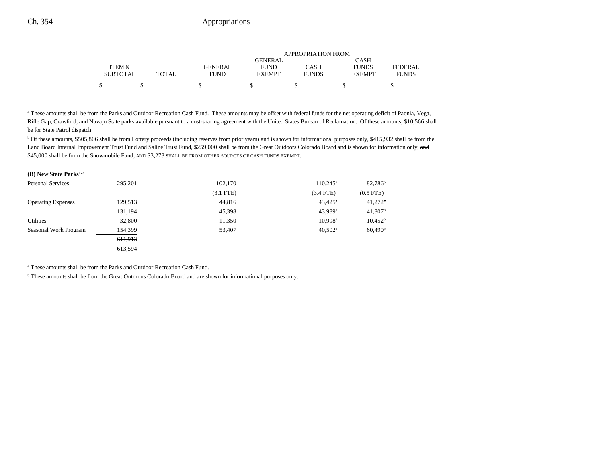|                 |       | APPROPRIATION FROM |               |              |               |              |
|-----------------|-------|--------------------|---------------|--------------|---------------|--------------|
|                 |       |                    | GENERAL       |              | CASH          |              |
| ITEM &          |       | GENERAL            | <b>FUND</b>   | CASH         | <b>FUNDS</b>  | FEDERAL      |
| <b>SUBTOTAL</b> | TOTAL | <b>FUND</b>        | <b>EXEMPT</b> | <b>FUNDS</b> | <b>EXEMPT</b> | <b>FUNDS</b> |
| \$              |       |                    |               |              |               |              |

<sup>a</sup> These amounts shall be from the Parks and Outdoor Recreation Cash Fund. These amounts may be offset with federal funds for the net operating deficit of Paonia, Vega, Rifle Gap, Crawford, and Navajo State parks available pursuant to a cost-sharing agreement with the United States Bureau of Reclamation. Of these amounts, \$10,566 shall be for State Patrol dispatch.

<sup>b</sup> Of these amounts, \$505,806 shall be from Lottery proceeds (including reserves from prior years) and is shown for informational purposes only, \$415,932 shall be from the Land Board Internal Improvement Trust Fund and Saline Trust Fund, \$259,000 shall be from the Great Outdoors Colorado Board and is shown for information only, and \$45,000 shall be from the Snowmobile Fund, AND \$3,273 SHALL BE FROM OTHER SOURCES OF CASH FUNDS EXEMPT.

| (B) New State Parks <sup>172</sup> |         |             |                       |                       |
|------------------------------------|---------|-------------|-----------------------|-----------------------|
| <b>Personal Services</b>           | 295.201 | 102,170     | $110.245^{\circ}$     | 82,786 <sup>b</sup>   |
|                                    |         | $(3.1$ FTE) | $(3.4$ FTE)           | $(0.5$ FTE $)$        |
| <b>Operating Expenses</b>          | 129,513 | 44,816      | $43,425$ <sup>*</sup> | $41.272$ <sup>b</sup> |
|                                    | 131,194 | 45,398      | $43.989$ <sup>a</sup> | $41,807$ <sup>b</sup> |
| <b>Utilities</b>                   | 32,800  | 11,350      | $10.998$ <sup>a</sup> | $10,452^{\rm b}$      |
| Seasonal Work Program              | 154,399 | 53,407      | $40.502^{\text{a}}$   | 60,490 <sup>b</sup>   |
|                                    | 611,913 |             |                       |                       |
|                                    | 613,594 |             |                       |                       |

a These amounts shall be from the Parks and Outdoor Recreation Cash Fund.

b These amounts shall be from the Great Outdoors Colorado Board and are shown for informational purposes only.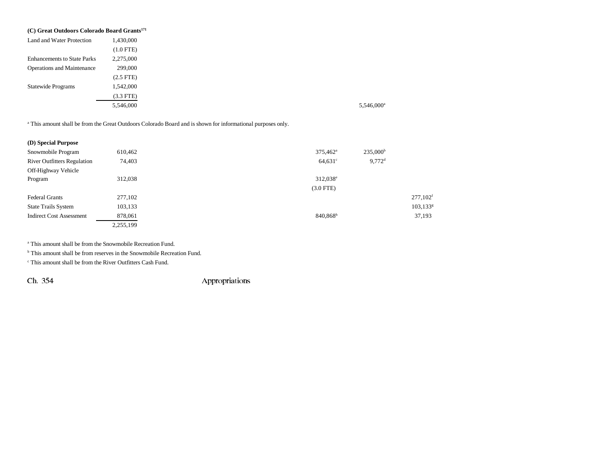| (C) Great Outdoors Colorado Board Grants <sup>171</sup> |                |  |  |
|---------------------------------------------------------|----------------|--|--|
| Land and Water Protection                               | 1,430,000      |  |  |
|                                                         | $(1.0$ FTE)    |  |  |
| <b>Enhancements to State Parks</b>                      | 2,275,000      |  |  |
| <b>Operations and Maintenance</b>                       | 299,000        |  |  |
|                                                         | $(2.5$ FTE $)$ |  |  |
| <b>Statewide Programs</b>                               | 1,542,000      |  |  |
|                                                         | $(3.3$ FTE)    |  |  |
|                                                         | 5,546,000      |  |  |

a This amount shall be from the Great Outdoors Colorado Board and is shown for informational purposes only.

| (D) Special Purpose                |           |                                          |                         |
|------------------------------------|-----------|------------------------------------------|-------------------------|
| Snowmobile Program                 | 610,462   | $235,000^{\rm b}$<br>$375,462^{\circ}$   |                         |
| <b>River Outfitters Regulation</b> | 74,403    | $9.772$ <sup>d</sup><br>$64,631^{\circ}$ |                         |
| Off-Highway Vehicle                |           |                                          |                         |
| Program                            | 312,038   | 312,038 <sup>e</sup>                     |                         |
|                                    |           | $(3.0$ FTE)                              |                         |
| <b>Federal Grants</b>              | 277,102   |                                          | $277,102$ <sup>f</sup>  |
| <b>State Trails System</b>         | 103,133   |                                          | $103, 133$ <sup>g</sup> |
| <b>Indirect Cost Assessment</b>    | 878,061   | 840,868h                                 | 37,193                  |
|                                    | 2,255,199 |                                          |                         |

a This amount shall be from the Snowmobile Recreation Fund.

<sup>b</sup> This amount shall be from reserves in the Snowmobile Recreation Fund.

c This amount shall be from the River Outfitters Cash Fund.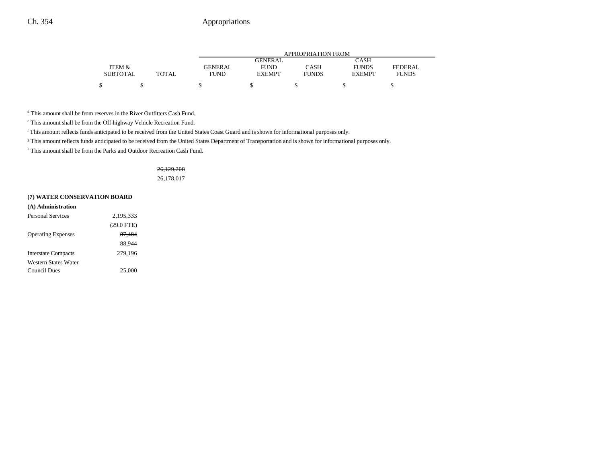|                 |              |             | APPROPRIATION FROM |              |               |              |  |
|-----------------|--------------|-------------|--------------------|--------------|---------------|--------------|--|
|                 |              |             | GENERAL            |              | CASH          |              |  |
| ITEM &          |              | GENERAL     | <b>FUND</b>        | CASH         | <b>FUNDS</b>  | FEDERAL.     |  |
| <b>SUBTOTAL</b> | <b>TOTAL</b> | <b>FUND</b> | <b>EXEMPT</b>      | <b>FUNDS</b> | <b>EXEMPT</b> | <b>FUNDS</b> |  |
|                 |              |             |                    |              |               |              |  |

d This amount shall be from reserves in the River Outfitters Cash Fund.

e This amount shall be from the Off-highway Vehicle Recreation Fund.

f This amount reflects funds anticipated to be received from the United States Coast Guard and is shown for informational purposes only.

<sup>g</sup> This amount reflects funds anticipated to be received from the United States Department of Transportation and is shown for informational purposes only.

<sup>h</sup> This amount shall be from the Parks and Outdoor Recreation Cash Fund.

#### 26,129,208

26,178,017

#### **(7) WATER CONSERVATION BOARD**

| (A) Administration         |              |
|----------------------------|--------------|
| Personal Services          | 2,195,333    |
|                            | $(29.0$ FTE) |
| <b>Operating Expenses</b>  | 87,484       |
|                            | 88.944       |
| <b>Interstate Compacts</b> | 279,196      |
| Western States Water       |              |
| Council Dues               | 25,000       |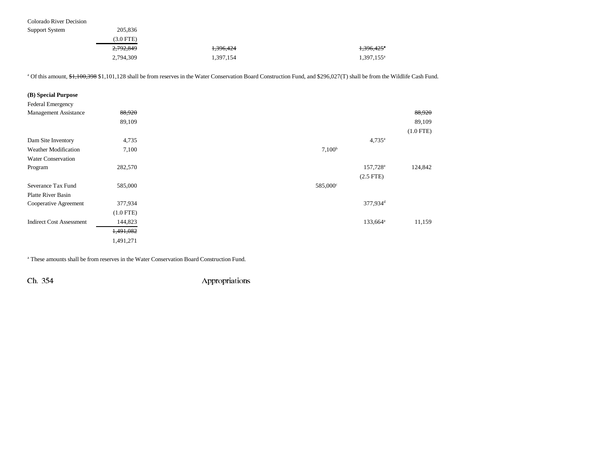Colorado River Decision

| Support System | 205,836   |           |                     |
|----------------|-----------|-----------|---------------------|
|                | (3.0 FTE) |           |                     |
|                | 2,792,849 | 1,396,424 | 1,396,425           |
|                | 2,794,309 | 1,397,154 | $1,397,155^{\circ}$ |

<sup>a</sup> Of this amount, \$1,100,398 \$1,101,128 shall be from reserves in the Water Conservation Board Construction Fund, and \$296,027(T) shall be from the Wildlife Cash Fund.

| (B) Special Purpose             |             |                      |             |
|---------------------------------|-------------|----------------------|-------------|
| Federal Emergency               |             |                      |             |
| <b>Management Assistance</b>    | 88,920      |                      | 88,920      |
|                                 | 89,109      |                      | 89,109      |
|                                 |             |                      | $(1.0$ FTE) |
| Dam Site Inventory              | 4,735       | $4,735^{\rm a}$      |             |
| <b>Weather Modification</b>     | 7,100       | 7,100 <sup>b</sup>   |             |
| <b>Water Conservation</b>       |             |                      |             |
| Program                         | 282,570     | 157,728 <sup>a</sup> | 124,842     |
|                                 |             | $(2.5$ FTE)          |             |
| Severance Tax Fund              | 585,000     | 585,000°             |             |
| <b>Platte River Basin</b>       |             |                      |             |
| Cooperative Agreement           | 377,934     | 377,934 <sup>d</sup> |             |
|                                 | $(1.0$ FTE) |                      |             |
| <b>Indirect Cost Assessment</b> | 144,823     | 133,664 <sup>a</sup> | 11,159      |
|                                 | 1,491,082   |                      |             |
|                                 | 1,491,271   |                      |             |

a These amounts shall be from reserves in the Water Conservation Board Construction Fund.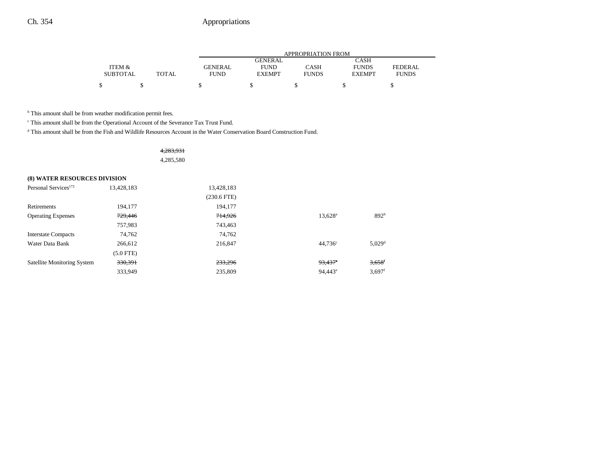|                 |              |                | APPROPRIATION FROM |              |               |                |  |  |
|-----------------|--------------|----------------|--------------------|--------------|---------------|----------------|--|--|
|                 |              |                | <b>GENERAL</b>     |              | CASH          |                |  |  |
| ITEM &          |              | <b>GENERAL</b> | <b>FUND</b>        | <b>CASH</b>  | <b>FUNDS</b>  | <b>FEDERAL</b> |  |  |
| <b>SUBTOTAL</b> | <b>TOTAL</b> | <b>FUND</b>    | <b>EXEMPT</b>      | <b>FUNDS</b> | <b>EXEMPT</b> | <b>FUNDS</b>   |  |  |
|                 |              |                |                    |              |               |                |  |  |

<sup>b</sup> This amount shall be from weather modification permit fees.

c This amount shall be from the Operational Account of the Severance Tax Trust Fund.

d This amount shall be from the Fish and Wildlife Resources Account in the Water Conservation Board Construction Fund.

|                                     |             | 4,283,931<br>4,285,580 |                  |                      |
|-------------------------------------|-------------|------------------------|------------------|----------------------|
| <b>(8) WATER RESOURCES DIVISION</b> |             |                        |                  |                      |
| Personal Services <sup>173</sup>    | 13,428,183  | 13,428,183             |                  |                      |
|                                     |             | $(230.6$ FTE)          |                  |                      |
| Retirements                         | 194,177     | 194,177                |                  |                      |
| <b>Operating Expenses</b>           | 729,446     | 714,926                | $13,628^{\rm a}$ | 892 <sup>b</sup>     |
|                                     | 757,983     | 743,463                |                  |                      |
| <b>Interstate Compacts</b>          | 74,762      | 74,762                 |                  |                      |
| Water Data Bank                     | 266,612     | 216,847                | $44,736^{\circ}$ | $5,029$ <sup>d</sup> |
|                                     | $(5.0$ FTE) |                        |                  |                      |
| <b>Satellite Monitoring System</b>  | 330,391     | 233,296                | $93,437$ °       | $3,658$ <sup>f</sup> |
|                                     | 333,949     | 235,809                | $94,443^e$       | $3,697$ <sup>f</sup> |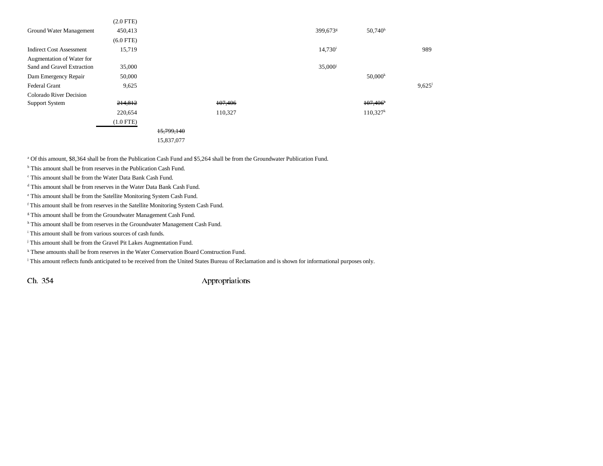|                                 | $(2.0$ FTE) |            |         |                      |                      |                      |
|---------------------------------|-------------|------------|---------|----------------------|----------------------|----------------------|
| Ground Water Management         | 450,413     |            |         | 399,673 <sup>g</sup> | $50,740^h$           |                      |
|                                 | $(6.0$ FTE) |            |         |                      |                      |                      |
| <b>Indirect Cost Assessment</b> | 15,719      |            |         | $14,730^{\rm i}$     |                      | 989                  |
| Augmentation of Water for       |             |            |         |                      |                      |                      |
| Sand and Gravel Extraction      | 35,000      |            |         | 35,000               |                      |                      |
| Dam Emergency Repair            | 50,000      |            |         |                      | $50,000^k$           |                      |
| <b>Federal Grant</b>            | 9,625       |            |         |                      |                      | $9,625$ <sup>1</sup> |
| Colorado River Decision         |             |            |         |                      |                      |                      |
| <b>Support System</b>           | 214,812     |            | 107,406 |                      | 107,406              |                      |
|                                 | 220,654     |            | 110,327 |                      | 110,327 <sup>k</sup> |                      |
|                                 | $(1.0$ FTE) |            |         |                      |                      |                      |
|                                 |             | 15,799,140 |         |                      |                      |                      |
|                                 |             | 15,837,077 |         |                      |                      |                      |

a Of this amount, \$8,364 shall be from the Publication Cash Fund and \$5,264 shall be from the Groundwater Publication Fund.

<sup>b</sup> This amount shall be from reserves in the Publication Cash Fund.

c This amount shall be from the Water Data Bank Cash Fund.

d This amount shall be from reserves in the Water Data Bank Cash Fund.

e This amount shall be from the Satellite Monitoring System Cash Fund.

f This amount shall be from reserves in the Satellite Monitoring System Cash Fund.

<sup>g</sup> This amount shall be from the Groundwater Management Cash Fund.

h This amount shall be from reserves in the Groundwater Management Cash Fund.

i This amount shall be from various sources of cash funds.

<sup>j</sup> This amount shall be from the Gravel Pit Lakes Augmentation Fund.

k These amounts shall be from reserves in the Water Conservation Board Construction Fund.

l This amount reflects funds anticipated to be received from the United States Bureau of Reclamation and is shown for informational purposes only.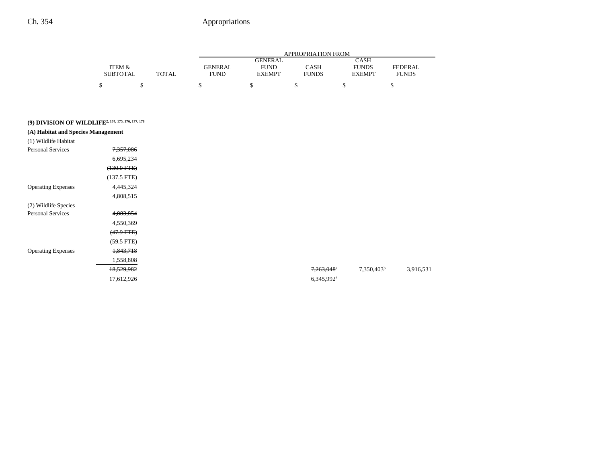|                 |       | APPROPRIATION FROM |                |              |               |              |
|-----------------|-------|--------------------|----------------|--------------|---------------|--------------|
|                 |       |                    | <b>GENERAL</b> |              | <b>CASH</b>   |              |
| ITEM &          |       | <b>GENERAL</b>     | <b>FUND</b>    | CASH         | <b>FUNDS</b>  | FEDERAL      |
| <b>SUBTOTAL</b> | TOTAL | <b>FUND</b>        | <b>EXEMPT</b>  | <b>FUNDS</b> | <b>EXEMPT</b> | <b>FUNDS</b> |
| ሖ               |       |                    |                |              |               |              |

# **(9) DIVISION OF WILDLIFE2, 174, 175, 176, 177, 178**

| (A) Habitat and Species Management |                       |                        |                        |
|------------------------------------|-----------------------|------------------------|------------------------|
| (1) Wildlife Habitat               |                       |                        |                        |
| <b>Personal Services</b>           | 7,357,086             |                        |                        |
|                                    | 6,695,234             |                        |                        |
|                                    | $(130.0 \text{ FFE})$ |                        |                        |
|                                    | $(137.5$ FTE)         |                        |                        |
| <b>Operating Expenses</b>          | 4,445,324             |                        |                        |
|                                    | 4,808,515             |                        |                        |
| (2) Wildlife Species               |                       |                        |                        |
| <b>Personal Services</b>           | 4,883,854             |                        |                        |
|                                    | 4,550,369             |                        |                        |
|                                    | $(47.9$ FTE $)$       |                        |                        |
|                                    | $(59.5$ FTE)          |                        |                        |
| <b>Operating Expenses</b>          | 1,843,718             |                        |                        |
|                                    | 1,558,808             |                        |                        |
|                                    | 18,529,982            | 7,263,048 <sup>a</sup> | 7,350,403 <sup>b</sup> |
|                                    | 17,612,926            | 6,345,992 <sup>a</sup> |                        |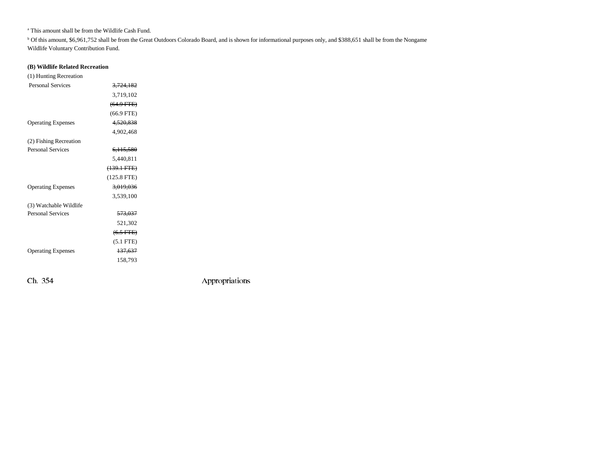a This amount shall be from the Wildlife Cash Fund.

b Of this amount, \$6,961,752 shall be from the Great Outdoors Colorado Board, and is shown for informational purposes only, and \$388,651 shall be from the Nongame Wildlife Voluntary Contribution Fund.

### **(B) Wildlife Related Recreation**

| (1) Hunting Recreation    |                       |  |
|---------------------------|-----------------------|--|
| <b>Personal Services</b>  | 3,724,182             |  |
|                           | 3.719.102             |  |
|                           | $(64.9$ FTE)          |  |
|                           | $(66.9$ FTE)          |  |
| <b>Operating Expenses</b> | 4,520,838             |  |
|                           | 4.902.468             |  |
| (2) Fishing Recreation    |                       |  |
| <b>Personal Services</b>  | 6,115,580             |  |
|                           | 5,440,811             |  |
|                           | $(139.1 \text{ FTE})$ |  |
|                           | $(125.8$ FTE)         |  |
| <b>Operating Expenses</b> | 3,019,036             |  |
|                           | 3,539,100             |  |
| (3) Watchable Wildlife    |                       |  |
| <b>Personal Services</b>  | 573,037               |  |
|                           | 521,302               |  |
|                           | $(6.5$ FTE)           |  |
|                           | $(5.1$ FTE $)$        |  |
| <b>Operating Expenses</b> | 137,637               |  |
|                           | 158.793               |  |
|                           |                       |  |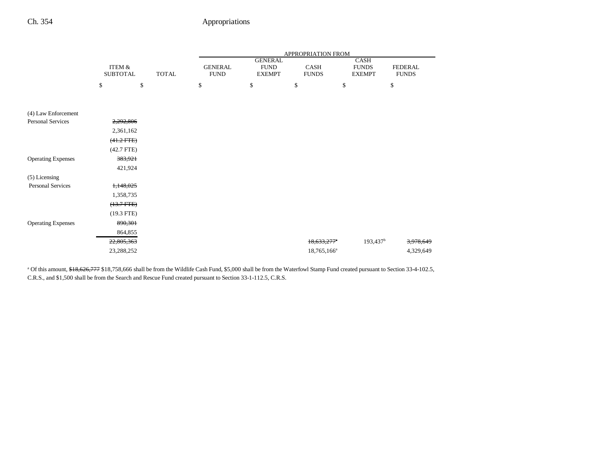|                           |                           |              | APPROPRIATION FROM            |                                                |                         |                                       |                                |  |
|---------------------------|---------------------------|--------------|-------------------------------|------------------------------------------------|-------------------------|---------------------------------------|--------------------------------|--|
|                           | ITEM &<br><b>SUBTOTAL</b> | <b>TOTAL</b> | <b>GENERAL</b><br><b>FUND</b> | <b>GENERAL</b><br><b>FUND</b><br><b>EXEMPT</b> | CASH<br><b>FUNDS</b>    | CASH<br><b>FUNDS</b><br><b>EXEMPT</b> | <b>FEDERAL</b><br><b>FUNDS</b> |  |
|                           | \$                        | \$           | \$                            | \$                                             | \$                      | \$                                    | \$                             |  |
| (4) Law Enforcement       |                           |              |                               |                                                |                         |                                       |                                |  |
| <b>Personal Services</b>  | 2,292,806                 |              |                               |                                                |                         |                                       |                                |  |
|                           | 2,361,162                 |              |                               |                                                |                         |                                       |                                |  |
|                           | $(41.2$ FTE $)$           |              |                               |                                                |                         |                                       |                                |  |
|                           | $(42.7$ FTE)              |              |                               |                                                |                         |                                       |                                |  |
| <b>Operating Expenses</b> | 383,921                   |              |                               |                                                |                         |                                       |                                |  |
|                           | 421,924                   |              |                               |                                                |                         |                                       |                                |  |
| (5) Licensing             |                           |              |                               |                                                |                         |                                       |                                |  |
| <b>Personal Services</b>  | 1,148,025                 |              |                               |                                                |                         |                                       |                                |  |
|                           | 1,358,735                 |              |                               |                                                |                         |                                       |                                |  |
|                           | $(13.7 FTE)$              |              |                               |                                                |                         |                                       |                                |  |
|                           | $(19.3$ FTE)              |              |                               |                                                |                         |                                       |                                |  |
| <b>Operating Expenses</b> | 890,301                   |              |                               |                                                |                         |                                       |                                |  |
|                           | 864,855                   |              |                               |                                                |                         |                                       |                                |  |
|                           | 22,805,363                |              |                               |                                                | $18,633,277$ *          | $193,437$ <sup>b</sup>                | 3,978,649                      |  |
|                           | 23,288,252                |              |                               |                                                | 18,765,166 <sup>a</sup> |                                       | 4,329,649                      |  |

<sup>a</sup> Of this amount, \$18,626,777 \$18,758,666 shall be from the Wildlife Cash Fund, \$5,000 shall be from the Waterfowl Stamp Fund created pursuant to Section 33-4-102.5, C.R.S., and \$1,500 shall be from the Search and Rescue Fund created pursuant to Section 33-1-112.5, C.R.S.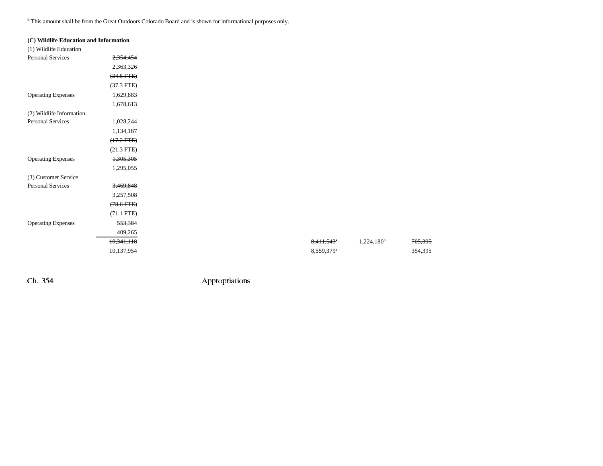b This amount shall be from the Great Outdoors Colorado Board and is shown for informational purposes only.

| (C) Wildlife Education and Information |                 |
|----------------------------------------|-----------------|
| (1) Wildlife Education                 |                 |
| <b>Personal Services</b>               | 2,354,454       |
|                                        | 2,363,326       |
|                                        | $(34.5$ FTE $)$ |
|                                        | $(37.3$ FTE)    |
| <b>Operating Expenses</b>              | 1,629,883       |
|                                        | 1,678,613       |
| (2) Wildlife Information               |                 |
| Personal Services                      | 1,028,244       |
|                                        | 1,134,187       |
|                                        | $(17.2$ FTE)    |
|                                        | $(21.3$ FTE)    |
| <b>Operating Expenses</b>              | 1,305,305       |
|                                        | 1,295,055       |
| (3) Customer Service                   |                 |
| <b>Personal Services</b>               | 3,469,848       |
|                                        | 3,257,508       |
|                                        | $(78.6$ FTE $)$ |
|                                        | $(71.1$ FTE)    |
| <b>Operating Expenses</b>              | 553,384         |
|                                        | 409,265         |
|                                        | 10,341,118      |
|                                        | 10,137,954      |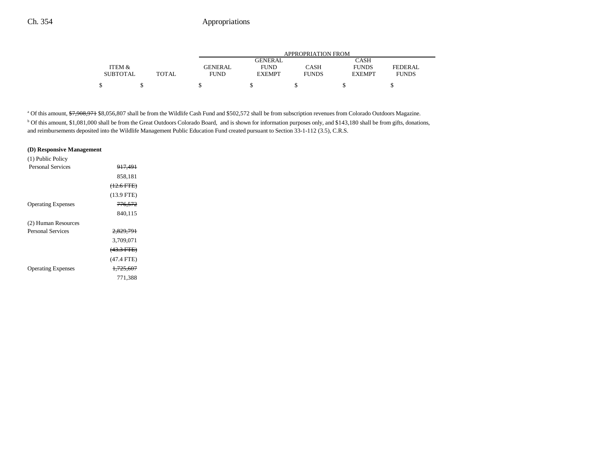|                 |       | APPROPRIATION FROM |                |              |               |              |  |
|-----------------|-------|--------------------|----------------|--------------|---------------|--------------|--|
|                 |       |                    | <b>GENERAL</b> |              | CASH          |              |  |
| ITEM &          |       | <b>GENERAL</b>     | <b>FUND</b>    | CASH         | <b>FUNDS</b>  | FEDERAL.     |  |
| <b>SUBTOTAL</b> | TOTAL | <b>FUND</b>        | <b>EXEMPT</b>  | <b>FUNDS</b> | <b>EXEMPT</b> | <b>FUNDS</b> |  |
|                 |       |                    |                |              |               |              |  |

<sup>a</sup> Of this amount, \$7,908,971 \$8,056,807 shall be from the Wildlife Cash Fund and \$502,572 shall be from subscription revenues from Colorado Outdoors Magazine.

b Of this amount, \$1,081,000 shall be from the Great Outdoors Colorado Board, and is shown for information purposes only, and \$143,180 shall be from gifts, donations, and reimbursements deposited into the Wildlife Management Public Education Fund created pursuant to Section 33-1-112 (3.5), C.R.S.

#### **(D) Responsive Management**

| (1) Public Policy         |                      |
|---------------------------|----------------------|
| <b>Personal Services</b>  | <del>917,491</del>   |
|                           | 858.181              |
|                           | $(12.6$ FTE)         |
|                           | $(13.9$ FTE)         |
| <b>Operating Expenses</b> | <del>776.572</del>   |
|                           | 840.115              |
| (2) Human Resources       |                      |
| <b>Personal Services</b>  | <del>2,829,791</del> |
|                           | 3.709.071            |
|                           | $(43.3 \text{ FFE})$ |
|                           | $(47.4$ FTE)         |
| <b>Operating Expenses</b> | <del>1,725,607</del> |
|                           | 771.388              |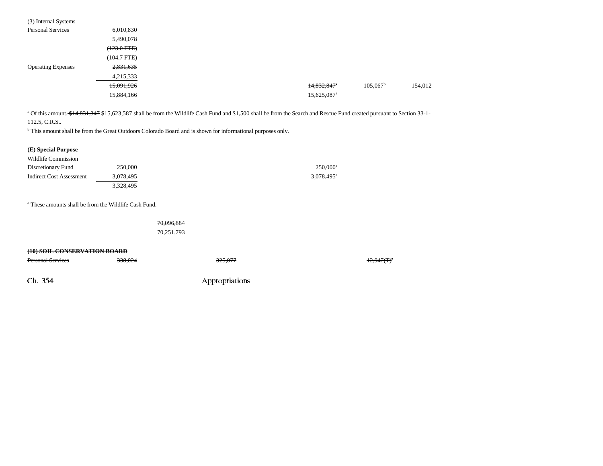| 6,010,830        |  |                           |                   |         |
|------------------|--|---------------------------|-------------------|---------|
| 5,490,078        |  |                           |                   |         |
| $(123.0$ FTE $)$ |  |                           |                   |         |
| $(104.7$ FTE)    |  |                           |                   |         |
| 2,831,635        |  |                           |                   |         |
| 4,215,333        |  |                           |                   |         |
| 15,091,926       |  | $14,832,847$ <sup>*</sup> | $105,067^{\rm b}$ | 154,012 |
| 15,884,166       |  | 15,625,087 <sup>a</sup>   |                   |         |
|                  |  |                           |                   |         |

<sup>a</sup> Of this amount, \$14,831,347 \$15,623,587 shall be from the Wildlife Cash Fund and \$1,500 shall be from the Search and Rescue Fund created pursuant to Section 33-1-112.5, C.R.S..

b This amount shall be from the Great Outdoors Colorado Board and is shown for informational purposes only.

| (E) Special Purpose      |           |                          |
|--------------------------|-----------|--------------------------|
| Wildlife Commission      |           |                          |
| Discretionary Fund       | 250,000   | $250,000^{\rm a}$        |
| Indirect Cost Assessment | 3,078,495 | $3.078.495$ <sup>a</sup> |
|                          | 3.328.495 |                          |

a These amounts shall be from the Wildlife Cash Fund.

| 70,096,884 |  |
|------------|--|
| 70,251,793 |  |

#### **(10) SOIL CONSERVATION BOARD**

| <b>Personal Services</b> | 338.024 | 325,077        | <del>12,947(T)</del> <sup>a</sup> |
|--------------------------|---------|----------------|-----------------------------------|
| Ch. 354                  |         | Appropriations |                                   |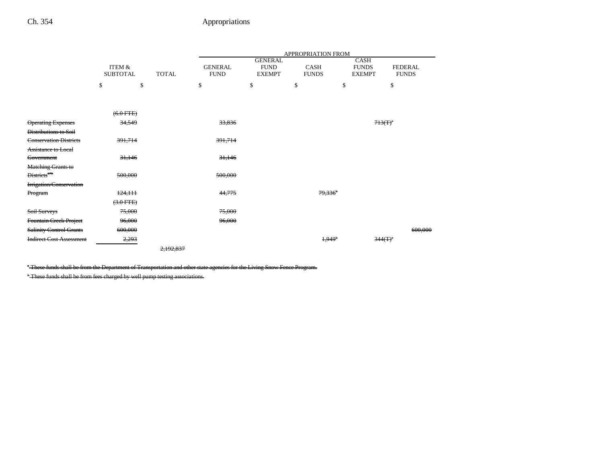|                                 |                                      |              | APPROPRIATION FROM            |                                                |                             |                                       |                                |  |
|---------------------------------|--------------------------------------|--------------|-------------------------------|------------------------------------------------|-----------------------------|---------------------------------------|--------------------------------|--|
|                                 | <b>ITEM &amp;</b><br><b>SUBTOTAL</b> | <b>TOTAL</b> | <b>GENERAL</b><br><b>FUND</b> | <b>GENERAL</b><br><b>FUND</b><br><b>EXEMPT</b> | <b>CASH</b><br><b>FUNDS</b> | CASH<br><b>FUNDS</b><br><b>EXEMPT</b> | <b>FEDERAL</b><br><b>FUNDS</b> |  |
|                                 | \$                                   | \$           | \$                            | \$                                             | \$                          | \$                                    | \$                             |  |
|                                 |                                      |              |                               |                                                |                             |                                       |                                |  |
|                                 | $(6.0$ FTE)                          |              |                               |                                                |                             |                                       |                                |  |
| <b>Operating Expenses</b>       | 34,549                               |              | 33,836                        |                                                |                             |                                       | $713(T)^{a}$                   |  |
| <b>Distributions to Soil</b>    |                                      |              |                               |                                                |                             |                                       |                                |  |
| <b>Conservation Districts</b>   | 391,714                              |              | 391,714                       |                                                |                             |                                       |                                |  |
| <b>Assistance to Local</b>      |                                      |              |                               |                                                |                             |                                       |                                |  |
| Government                      | 31,146                               |              | 31,146                        |                                                |                             |                                       |                                |  |
| <b>Matching Grants to</b>       |                                      |              |                               |                                                |                             |                                       |                                |  |
| Districts <sup>179</sup>        | 500,000                              |              | 500,000                       |                                                |                             |                                       |                                |  |
| Irrigation/Conservation         |                                      |              |                               |                                                |                             |                                       |                                |  |
| Program                         | 124,111                              |              | 44,775                        |                                                | 79,336                      |                                       |                                |  |
|                                 | $(3.0$ FTE)                          |              |                               |                                                |                             |                                       |                                |  |
| Soil Surveys                    | 75,000                               |              | 75,000                        |                                                |                             |                                       |                                |  |
| Fountain Creek Project          | 96,000                               |              | 96,000                        |                                                |                             |                                       |                                |  |
| <b>Salinity Control Grants</b>  | 600,000                              |              |                               |                                                |                             |                                       | 600,000                        |  |
| <b>Indirect Cost Assessment</b> | 2,293                                |              |                               |                                                | 1,949                       |                                       | $344(T)^{a}$                   |  |
|                                 |                                      | 2,192,837    |                               |                                                |                             |                                       |                                |  |

<sup>a</sup> These funds shall be from the Department of Transportation and other state agencies for the Living Snow Fence Program.

<sup>b</sup> These funds shall be from fees charged by well pump testing associations.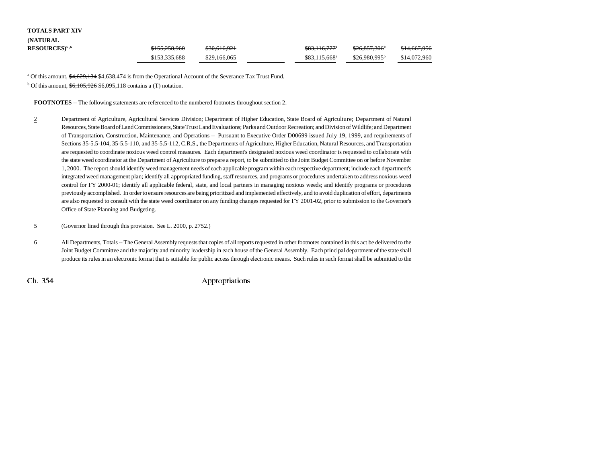## **TOTALS PART XIV**

| <b>(NATURAL)</b>           |               |              |                           |                           |              |
|----------------------------|---------------|--------------|---------------------------|---------------------------|--------------|
| $RESOURCES$ <sup>5,6</sup> | \$155,258,960 | \$30,616,921 | <del>\$83,116,777</del> * | <del>\$26,857,306</del> * | \$14,667,956 |
|                            | \$153,335,688 | \$29,166,065 | \$83.115.668 <sup>a</sup> | $$26.980.995^b$           | \$14,072,960 |

<sup>a</sup> Of this amount,  $\frac{46,629,134}{4}$  \$4,638,474 is from the Operational Account of the Severance Tax Trust Fund.

 $b$  Of this amount,  $\frac{6,105,926}{6,095,118}$  contains a (T) notation.

**FOOTNOTES** -- The following statements are referenced to the numbered footnotes throughout section 2.

- 2 Department of Agriculture, Agricultural Services Division; Department of Higher Education, State Board of Agriculture; Department of Natural Resources, State Board of Land Commissioners, State Trust Land Evaluations; Parks and Outdoor Recreation; and Division of Wildlife; and Department of Transportation, Construction, Maintenance, and Operations -- Pursuant to Executive Order D00699 issued July 19, 1999, and requirements of Sections 35-5.5-104, 35-5.5-110, and 35-5.5-112, C.R.S., the Departments of Agriculture, Higher Education, Natural Resources, and Transportation are requested to coordinate noxious weed control measures. Each department's designated noxious weed coordinator is requested to collaborate with the state weed coordinator at the Department of Agriculture to prepare a report, to be submitted to the Joint Budget Committee on or before November 1, 2000. The report should identify weed management needs of each applicable program within each respective department; include each department's integrated weed management plan; identify all appropriated funding, staff resources, and programs or procedures undertaken to address noxious weed control for FY 2000-01; identify all applicable federal, state, and local partners in managing noxious weeds; and identify programs or procedures previously accomplished. In order to ensure resources are being prioritized and implemented effectively, and to avoid duplication of effort, departments are also requested to consult with the state weed coordinator on any funding changes requested for FY 2001-02, prior to submission to the Governor's Office of State Planning and Budgeting.
- 5 (Governor lined through this provision. See L. 2000, p. 2752.)
- 6 All Departments, Totals -- The General Assembly requests that copies of all reports requested in other footnotes contained in this act be delivered to the Joint Budget Committee and the majority and minority leadership in each house of the General Assembly. Each principal department of the state shall produce its rules in an electronic format that is suitable for public access through electronic means. Such rules in such format shall be submitted to the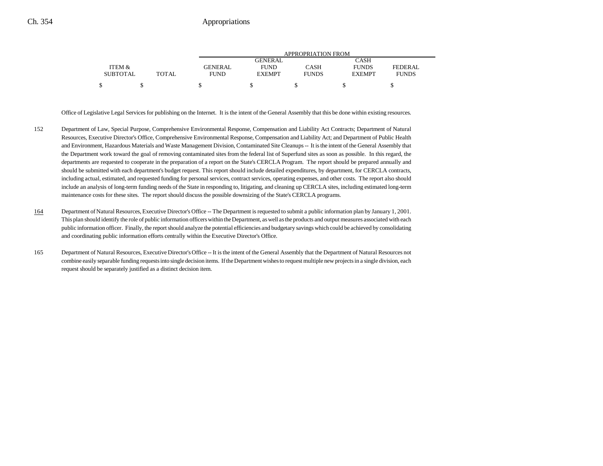|                 |              | APPROPRIATION FROM |               |              |               |              |  |
|-----------------|--------------|--------------------|---------------|--------------|---------------|--------------|--|
|                 |              |                    | GENERAL       |              | CASH          |              |  |
| ITEM &          |              | GENERAL            | <b>FUND</b>   | CASH         | <b>FUNDS</b>  | FEDERAL      |  |
| <b>SUBTOTAL</b> | <b>TOTAL</b> | <b>FUND</b>        | <b>EXEMPT</b> | <b>FUNDS</b> | <b>EXEMPT</b> | <b>FUNDS</b> |  |
|                 |              |                    |               |              |               |              |  |

Office of Legislative Legal Services for publishing on the Internet. It is the intent of the General Assembly that this be done within existing resources.

- 152 Department of Law, Special Purpose, Comprehensive Environmental Response, Compensation and Liability Act Contracts; Department of Natural Resources, Executive Director's Office, Comprehensive Environmental Response, Compensation and Liability Act; and Department of Public Health and Environment, Hazardous Materials and Waste Management Division, Contaminated Site Cleanups -- It is the intent of the General Assembly that the Department work toward the goal of removing contaminated sites from the federal list of Superfund sites as soon as possible. In this regard, the departments are requested to cooperate in the preparation of a report on the State's CERCLA Program. The report should be prepared annually and should be submitted with each department's budget request. This report should include detailed expenditures, by department, for CERCLA contracts, including actual, estimated, and requested funding for personal services, contract services, operating expenses, and other costs. The report also should include an analysis of long-term funding needs of the State in responding to, litigating, and cleaning up CERCLA sites, including estimated long-term maintenance costs for these sites. The report should discuss the possible downsizing of the State's CERCLA programs.
- 164Department of Natural Resources, Executive Director's Office -- The Department is requested to submit a public information plan by January 1, 2001. This plan should identify the role of public information officers within the Department, as well as the products and output measures associated with each public information officer. Finally, the report should analyze the potential efficiencies and budgetary savings which could be achieved by consolidating and coordinating public information efforts centrally within the Executive Director's Office.
- 165 Department of Natural Resources, Executive Director's Office -- It is the intent of the General Assembly that the Department of Natural Resources not combine easily separable funding requests into single decision items. If the Department wishes to request multiple new projects in a single division, each request should be separately justified as a distinct decision item.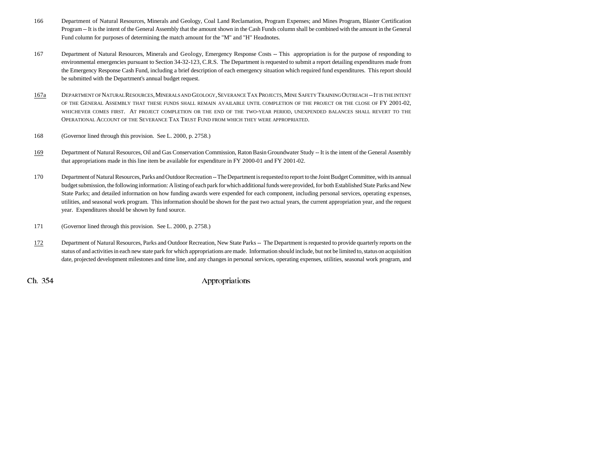- 166 Department of Natural Resources, Minerals and Geology, Coal Land Reclamation, Program Expenses; and Mines Program, Blaster Certification Program -- It is the intent of the General Assembly that the amount shown in the Cash Funds column shall be combined with the amount in the General Fund column for purposes of determining the match amount for the "M" and "H" Headnotes.
- 167 Department of Natural Resources, Minerals and Geology, Emergency Response Costs -- This appropriation is for the purpose of responding to environmental emergencies pursuant to Section 34-32-123, C.R.S. The Department is requested to submit a report detailing expenditures made from the Emergency Response Cash Fund, including a brief description of each emergency situation which required fund expenditures. This report should be submitted with the Department's annual budget request.
- 167a DEPARTMENT OF NATURAL RESOURCES, MINERALS AND GEOLOGY , SEVERANCE TAX PROJECTS, MINE SAFETY TRAINING OUTREACH -- IT IS THE INTENT OF THE GENERAL ASSEMBLY THAT THESE FUNDS SHALL REMAIN AVAILABLE UNTIL COMPLETION OF THE PROJECT OR THE CLOSE OF FY 2001-02, WHICHEVER COMES FIRST. AT PROJECT COMPLETION OR THE END OF THE TWO-YEAR PERIOD, UNEXPENDED BALANCES SHALL REVERT TO THE Operational Account of the Severance Tax Trust Fund from which they were appropriated.
- 168 (Governor lined through this provision. See L. 2000, p. 2758.)
- 169 Department of Natural Resources, Oil and Gas Conservation Commission, Raton Basin Groundwater Study -- It is the intent of the General Assembly that appropriations made in this line item be available for expenditure in FY 2000-01 and FY 2001-02.
- 170 Department of Natural Resources, Parks and Outdoor Recreation -- The Department is requested to report to the Joint Budget Committee, with its annual budget submission, the following information: A listing of each park for which additional funds were provided, for both Established State Parks and New State Parks; and detailed information on how funding awards were expended for each component, including personal services, operating expenses, utilities, and seasonal work program. This information should be shown for the past two actual years, the current appropriation year, and the request year. Expenditures should be shown by fund source.
- 171 (Governor lined through this provision. See L. 2000, p. 2758.)
- 172 Department of Natural Resources, Parks and Outdoor Recreation, New State Parks -- The Department is requested to provide quarterly reports on the status of and activities in each new state park for which appropriations are made. Information should include, but not be limited to, status on acquisition date, projected development milestones and time line, and any changes in personal services, operating expenses, utilities, seasonal work program, and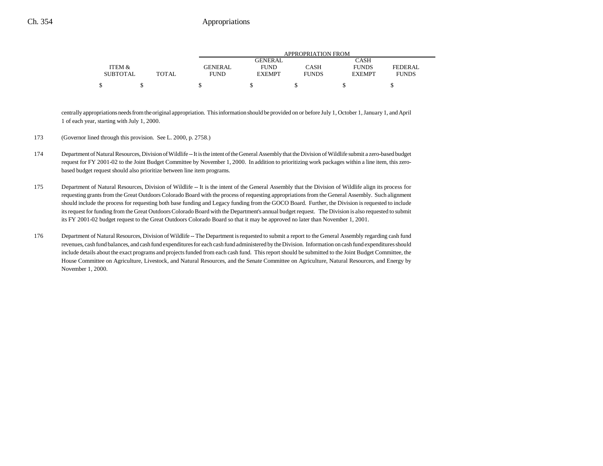|                 |              | APPROPRIATION FROM |               |              |               |              |  |
|-----------------|--------------|--------------------|---------------|--------------|---------------|--------------|--|
|                 |              |                    | GENERAL.      |              | CASH          |              |  |
| ITEM &          |              | <b>GENERAL</b>     | <b>FUND</b>   | CASH         | <b>FUNDS</b>  | FEDERAL      |  |
| <b>SUBTOTAL</b> | <b>TOTAL</b> | <b>FUND</b>        | <b>EXEMPT</b> | <b>FUNDS</b> | <b>EXEMPT</b> | <b>FUNDS</b> |  |
| ¢               |              |                    |               |              |               |              |  |

centrally appropriations needs from the original appropriation. This information should be provided on or before July 1, October 1, January 1, and April 1 of each year, starting with July 1, 2000.

- 173 (Governor lined through this provision. See L. 2000, p. 2758.)
- 174 Department of Natural Resources, Division of Wildlife -- It is the intent of the General Assembly that the Division of Wildlife submit a zero-based budget request for FY 2001-02 to the Joint Budget Committee by November 1, 2000. In addition to prioritizing work packages within a line item, this zerobased budget request should also prioritize between line item programs.
- 175 Department of Natural Resources, Division of Wildlife -- It is the intent of the General Assembly that the Division of Wildlife align its process for requesting grants from the Great Outdoors Colorado Board with the process of requesting appropriations from the General Assembly. Such alignment should include the process for requesting both base funding and Legacy funding from the GOCO Board. Further, the Division is requested to include its request for funding from the Great Outdoors Colorado Board with the Department's annual budget request. The Division is also requested to submit its FY 2001-02 budget request to the Great Outdoors Colorado Board so that it may be approved no later than November 1, 2001.
- 176 Department of Natural Resources, Division of Wildlife -- The Department is requested to submit a report to the General Assembly regarding cash fund revenues, cash fund balances, and cash fund expenditures for each cash fund administered by the Division. Information on cash fund expenditures should include details about the exact programs and projects funded from each cash fund. This report should be submitted to the Joint Budget Committee, the House Committee on Agriculture, Livestock, and Natural Resources, and the Senate Committee on Agriculture, Natural Resources, and Energy by November 1, 2000.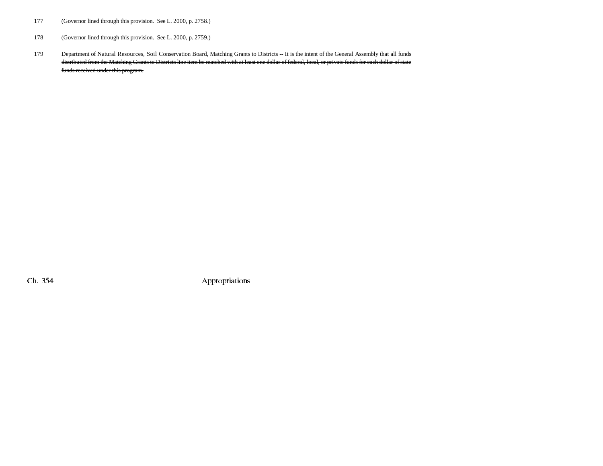- 177 (Governor lined through this provision. See L. 2000, p. 2758.)
- 178 (Governor lined through this provision. See L. 2000, p. 2759.)
- 179 Department of Natural Resources, Soil Conservation Board, Matching Grants to Districts -- It is the intent of the General Assembly that all funds distributed from the Matching Grants to Districts line item be matched with at least one dollar of federal, local, or private funds for each dollar of state funds received under this program.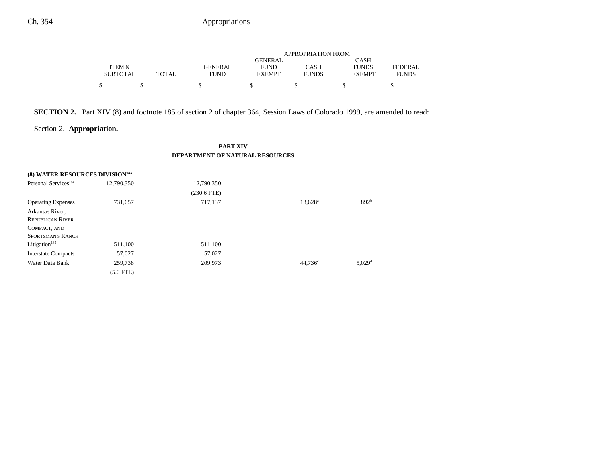|                 |       |                | APPROPRIATION FROM |              |               |                |  |  |
|-----------------|-------|----------------|--------------------|--------------|---------------|----------------|--|--|
|                 |       |                | GENERAL            |              | CASH          |                |  |  |
| ITEM &          |       | <b>GENERAL</b> | <b>FUND</b>        | CASH         | <b>FUNDS</b>  | <b>FEDERAL</b> |  |  |
| <b>SUBTOTAL</b> | TOTAL | FUND           | <b>EXEMPT</b>      | <b>FUNDS</b> | <b>EXEMPT</b> | <b>FUNDS</b>   |  |  |
|                 |       |                |                    |              |               |                |  |  |

## **SECTION 2.** Part XIV (8) and footnote 185 of section 2 of chapter 364, Session Laws of Colorado 1999, are amended to read:

## Section 2. **Appropriation.**

### **PART XIV DEPARTMENT OF NATURAL RESOURCES**

| (8) WATER RESOURCES DIVISION <sup>183</sup> |            |               |                  |                      |
|---------------------------------------------|------------|---------------|------------------|----------------------|
| Personal Services <sup>184</sup>            | 12,790,350 | 12,790,350    |                  |                      |
|                                             |            | $(230.6$ FTE) |                  |                      |
| <b>Operating Expenses</b>                   | 731,657    | 717,137       | $13,628^{\rm a}$ | 892 <sup>b</sup>     |
| Arkansas River,                             |            |               |                  |                      |
| <b>REPUBLICAN RIVER</b>                     |            |               |                  |                      |
| COMPACT, AND                                |            |               |                  |                      |
| <b>SPORTSMAN'S RANCH</b>                    |            |               |                  |                      |
| Litigation $185$                            | 511,100    | 511,100       |                  |                      |
| <b>Interstate Compacts</b>                  | 57,027     | 57,027        |                  |                      |
| Water Data Bank                             | 259,738    | 209,973       | $44,736^{\circ}$ | $5,029$ <sup>d</sup> |
|                                             | (5.0 FTE)  |               |                  |                      |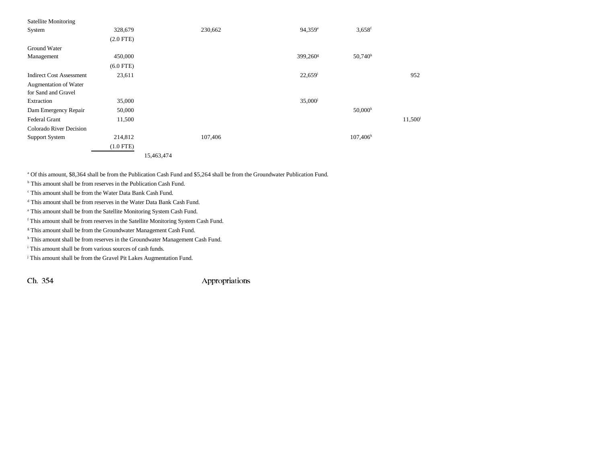| <b>Satellite Monitoring</b>     |             |            |         |                       |                      |                     |
|---------------------------------|-------------|------------|---------|-----------------------|----------------------|---------------------|
| System                          | 328,679     |            | 230,662 | 94,359 <sup>e</sup>   | $3,658$ <sup>f</sup> |                     |
|                                 | $(2.0$ FTE) |            |         |                       |                      |                     |
| Ground Water                    |             |            |         |                       |                      |                     |
| Management                      | 450,000     |            |         | 399,260 <sup>g</sup>  | $50,740^{\rm h}$     |                     |
|                                 | $(6.0$ FTE) |            |         |                       |                      |                     |
| <b>Indirect Cost Assessment</b> | 23,611      |            |         | $22,659$ <sup>i</sup> |                      | 952                 |
| Augmentation of Water           |             |            |         |                       |                      |                     |
| for Sand and Gravel             |             |            |         |                       |                      |                     |
| Extraction                      | 35,000      |            |         | 35,000 <sup>j</sup>   |                      |                     |
| Dam Emergency Repair            | 50,000      |            |         |                       | $50,000^k$           |                     |
| Federal Grant                   | 11,500      |            |         |                       |                      | 11,500 <sup>1</sup> |
| Colorado River Decision         |             |            |         |                       |                      |                     |
| <b>Support System</b>           | 214,812     |            | 107,406 |                       | $107,406^k$          |                     |
|                                 | $(1.0$ FTE) |            |         |                       |                      |                     |
|                                 |             | 15,463,474 |         |                       |                      |                     |

a Of this amount, \$8,364 shall be from the Publication Cash Fund and \$5,264 shall be from the Groundwater Publication Fund.

<sup>b</sup> This amount shall be from reserves in the Publication Cash Fund.

c This amount shall be from the Water Data Bank Cash Fund.

d This amount shall be from reserves in the Water Data Bank Cash Fund.

e This amount shall be from the Satellite Monitoring System Cash Fund.

f This amount shall be from reserves in the Satellite Monitoring System Cash Fund.

<sup>g</sup> This amount shall be from the Groundwater Management Cash Fund.

h This amount shall be from reserves in the Groundwater Management Cash Fund.

i This amount shall be from various sources of cash funds.

<sup>j</sup> This amount shall be from the Gravel Pit Lakes Augmentation Fund.